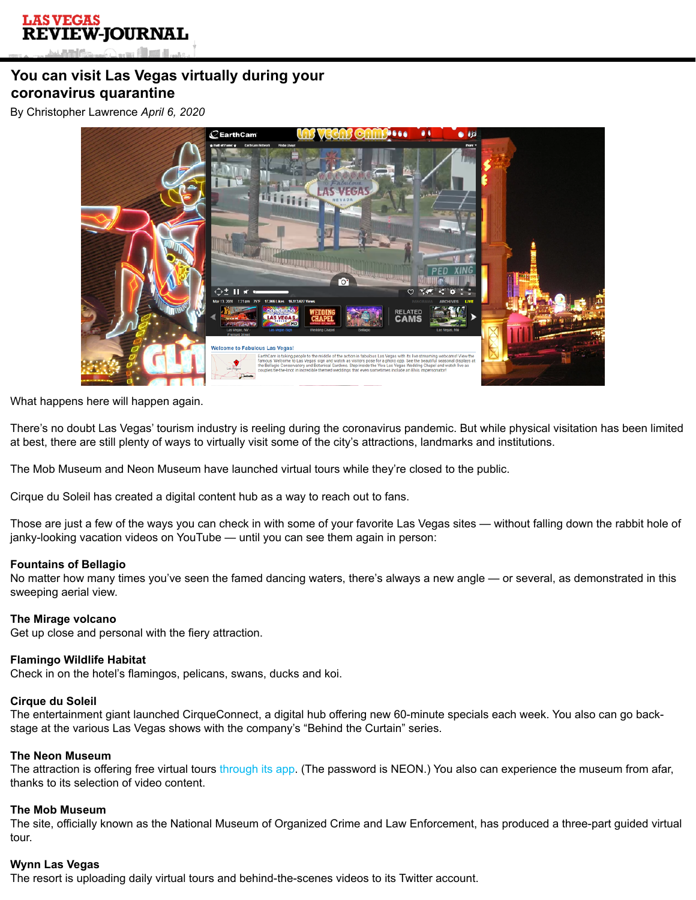# **You can visit Las Vegas virtually during your coronavirus quarantine**

By Christopher Lawrence *April 6, 2020*



What happens here will happen again.

There's no doubt Las Vegas' tourism industry is reeling during the coronavirus pandemic. But while physical visitation has been limited at best, there are still plenty of ways to virtually visit some of the city's attractions, landmarks and institutions.

The Mob Museum and Neon Museum have launched virtual tours while they're closed to the public.

Cirque du Soleil has created a digital content hub as a way to reach out to fans.

Those are just a few of the ways you can check in with some of your favorite Las Vegas sites — without falling down the rabbit hole of janky-looking vacation videos on YouTube — until you can see them again in person:

## **Fountains of Bellagio**

No matter how many times you've seen the famed dancing waters, there's always a new angle — or several, as demonstrated in this sweeping aerial view.

## **The Mirage volcano**

Get up close and personal with the fiery attraction.

## **Flamingo Wildlife Habitat**

Check in on the hotel's flamingos, pelicans, swans, ducks and koi.

## **Cirque du Soleil**

The entertainment giant launched CirqueConnect, a digital hub offering new 60-minute specials each week. You also can go backstage at the various Las Vegas shows with the company's "Behind the Curtain" series.

### **The Neon Museum**

The attraction is offering free virtual tours [through its app](https://www.neonmuseum.app/). (The password is NEON.) You also can experience the museum from afar, thanks to its selection of video content.

#### **The Mob Museum**

The site, officially known as the National Museum of Organized Crime and Law Enforcement, has produced a three-part guided virtual tour.

#### **Wynn Las Vegas**

The resort is uploading daily virtual tours and behind-the-scenes videos to its Twitter account.